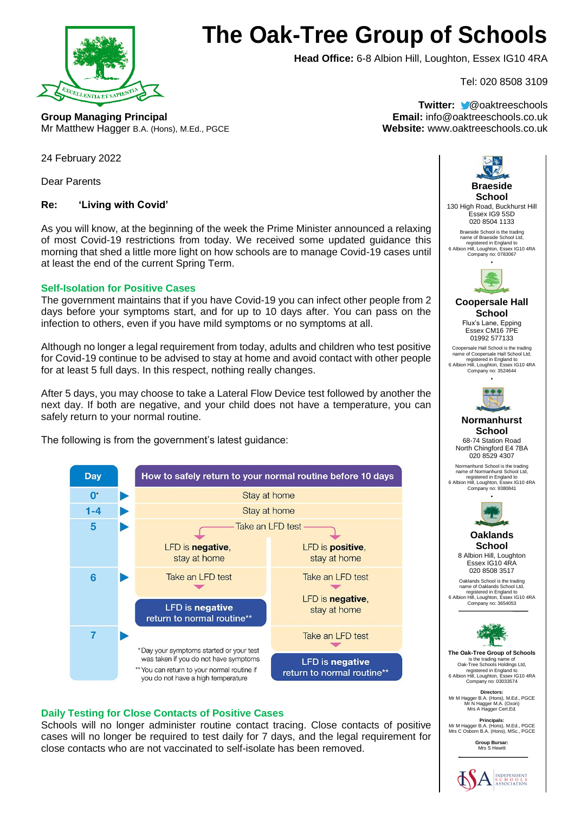

# **The Oak-Tree Group of Schools**

**Head Office:** 6-8 Albion Hill, Loughton, Essex IG10 4RA

Tel: 020 8508 3109

**Group Managing Principal Email:** info@oaktreeschools.co.uk Mr Matthew Hagger B.A. (Hons), M.Ed., PGCE **Website:** www.oaktreeschools.co.uk

**Twitter:** @oaktreeschools

24 February 2022

Dear Parents

# **Re: 'Living with Covid'**

As you will know, at the beginning of the week the Prime Minister announced a relaxing of most Covid-19 restrictions from today. We received some updated guidance this morning that shed a little more light on how schools are to manage Covid-19 cases until at least the end of the current Spring Term.

## **Self-Isolation for Positive Cases**

The government maintains that if you have Covid-19 you can infect other people from 2 days before your symptoms start, and for up to 10 days after. You can pass on the infection to others, even if you have mild symptoms or no symptoms at all.

Although no longer a legal requirement from today, adults and children who test positive for Covid-19 continue to be advised to stay at home and avoid contact with other people for at least 5 full days. In this respect, nothing really changes.

After 5 days, you may choose to take a Lateral Flow Device test followed by another the next day. If both are negative, and your child does not have a temperature, you can safely return to your normal routine.

The following is from the government's latest guidance:



# **Daily Testing for Close Contacts of Positive Cases**

Schools will no longer administer routine contact tracing. Close contacts of positive cases will no longer be required to test daily for 7 days, and the legal requirement for close contacts who are not vaccinated to self-isolate has been removed.